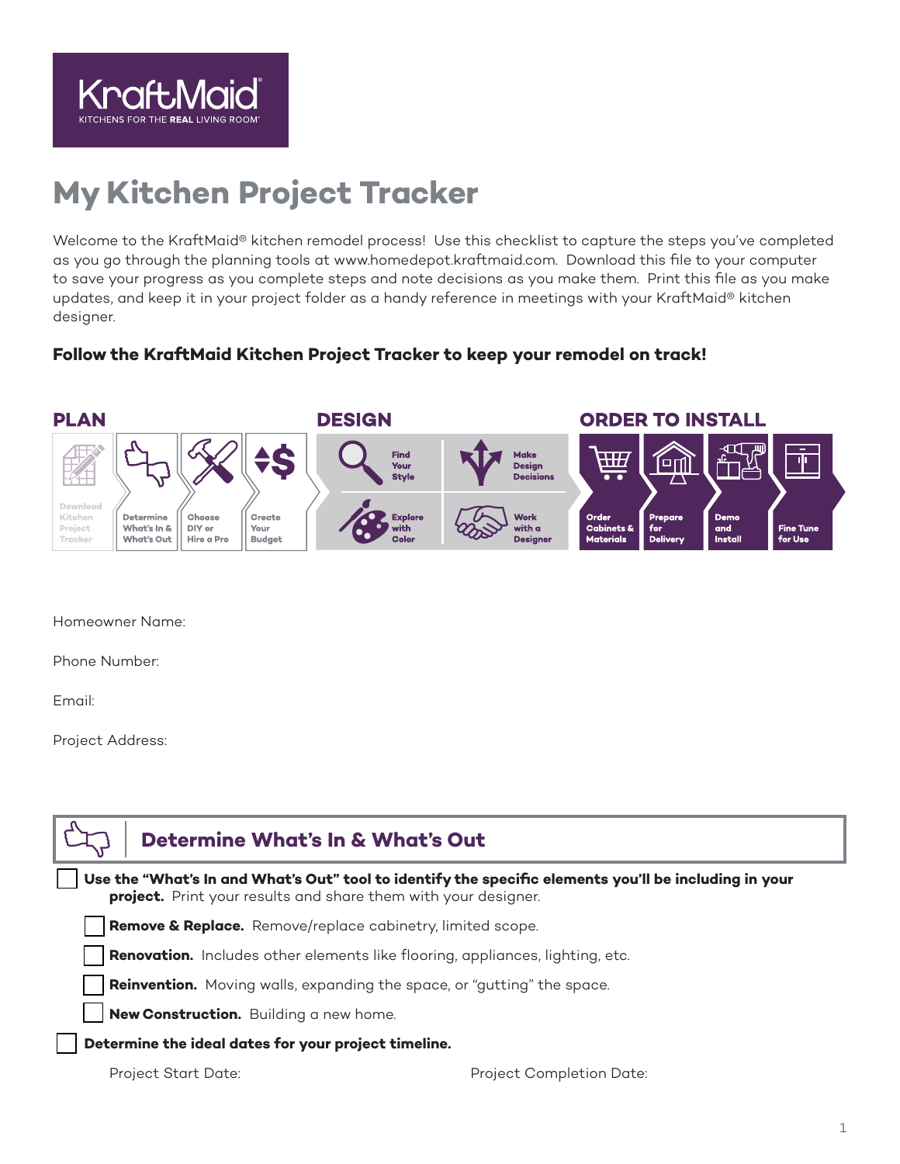

# **My Kitchen Project Tracker**

Welcome to the KraftMaid® kitchen remodel process! Use this checklist to capture the steps you've completed as you go through the planning tools at www.homedepot.kraftmaid.com. Download this file to your computer to save your progress as you complete steps and note decisions as you make them. Print this file as you make updates, and keep it in your project folder as a handy reference in meetings with your KraftMaid® kitchen designer.

### **Follow the KraftMaid Kitchen Project Tracker to keep your remodel on track!**



Homeowner Name:

Phone Number:

Email:

Project Address:

| <b>Determine What's In &amp; What's Out</b>                                                                                                                             |                          |  |  |  |
|-------------------------------------------------------------------------------------------------------------------------------------------------------------------------|--------------------------|--|--|--|
| Use the "What's In and What's Out" tool to identify the specific elements you'll be including in your<br>project. Print your results and share them with your designer. |                          |  |  |  |
| Remove & Replace. Remove/replace cabinetry, limited scope.                                                                                                              |                          |  |  |  |
| <b>Renovation.</b> Includes other elements like flooring, appliances, lighting, etc.                                                                                    |                          |  |  |  |
| <b>Reinvention.</b> Moving walls, expanding the space, or "gutting" the space.                                                                                          |                          |  |  |  |
| New Construction. Building a new home.                                                                                                                                  |                          |  |  |  |
| Determine the ideal dates for your project timeline.                                                                                                                    |                          |  |  |  |
| <b>Project Start Date:</b>                                                                                                                                              | Project Completion Date: |  |  |  |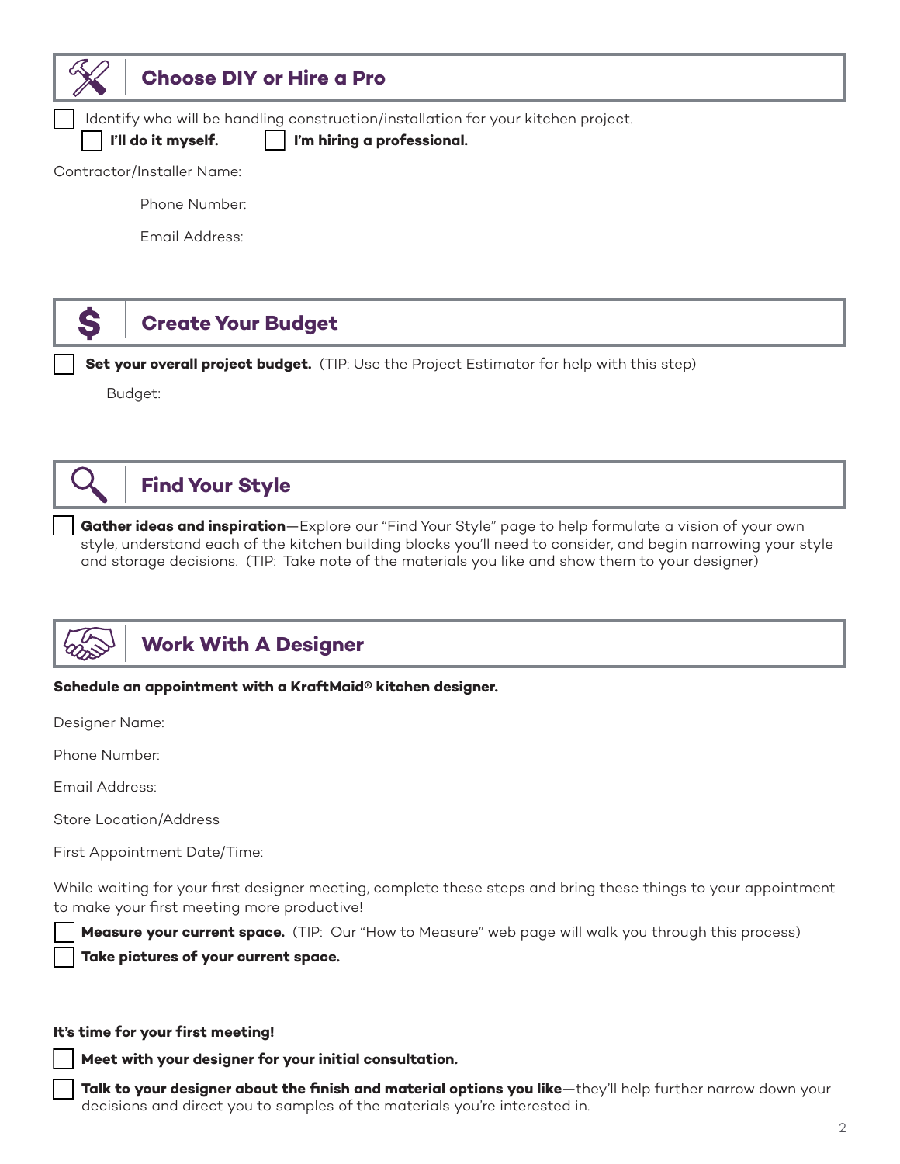

### **Choose DIY or Hire a Pro**

Identify who will be handling construction/installation for your kitchen project.

I'll do it myself. **I** l'm hiring a professional.

Contractor/Installer Name:

Phone Number:

Email Address:



### **Create Your Budget**

Set your overall project budget. (TIP: Use the Project Estimator for help with this step)

Budget:



## **Find Your Style**

Gather ideas and inspiration—Explore our "Find Your Style" page to help formulate a vision of your own style, understand each of the kitchen building blocks you'll need to consider, and begin narrowing your style and storage decisions. (TIP: Take note of the materials you like and show them to your designer)



# **Work With A Designer**

#### **Schedule an appointment with a KraftMaid® kitchen designer.**

Designer Name:

Phone Number:

Email Address:

Store Location/Address

First Appointment Date/Time:

While waiting for your first designer meeting, complete these steps and bring these things to your appointment to make your first meeting more productive!

Measure your current space. (TIP: Our "How to Measure" web page will walk you through this process)

Take pictures of your current space.

#### **It's time for your first meeting!**

Meet with your designer for your initial consultation.

Talk to your designer about the finish and material options you like—they'll help further narrow down your decisions and direct you to samples of the materials you're interested in.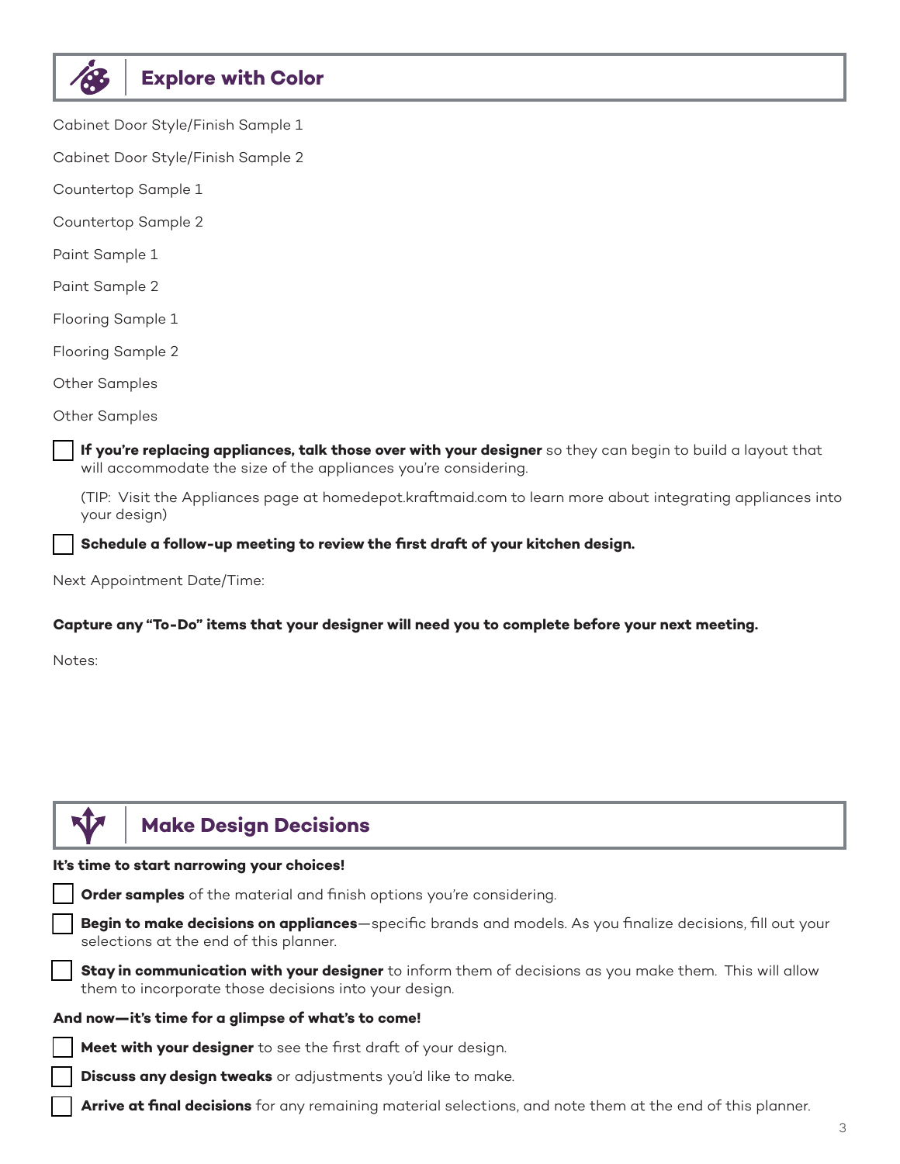| <b>Explore with Color</b> |  |
|---------------------------|--|
|                           |  |

Cabinet Door Style/Finish Sample 1

Cabinet Door Style/Finish Sample 2

Countertop Sample 1

Countertop Sample 2

Paint Sample 1

Paint Sample 2

Flooring Sample 1

Flooring Sample 2

Other Samples

Other Samples

If you're replacing appliances, talk those over with your designer so they can begin to build a layout that will accommodate the size of the appliances you're considering.

(TIP: Visit the Appliances page at homedepot.kraftmaid.com to learn more about integrating appliances into your design)

Schedule a follow-up meeting to review the first draft of your kitchen design.

Next Appointment Date/Time:

#### **Capture any "To-Do" items that your designer will need you to complete before your next meeting.**

Notes:

### **Make Design Decisions**

#### **It's time to start narrowing your choices!**



**Begin to make decisions on appliances**—specific brands and models. As you finalize decisions, fill out your selections at the end of this planner.

Stay in communication with your designer to inform them of decisions as you make them. This will allow them to incorporate those decisions into your design.

#### **And now—it's time for a glimpse of what's to come!**

Meet with your designer to see the first draft of your design.

**Discuss any design tweaks** or adjustments you'd like to make.

Arrive at final decisions for any remaining material selections, and note them at the end of this planner.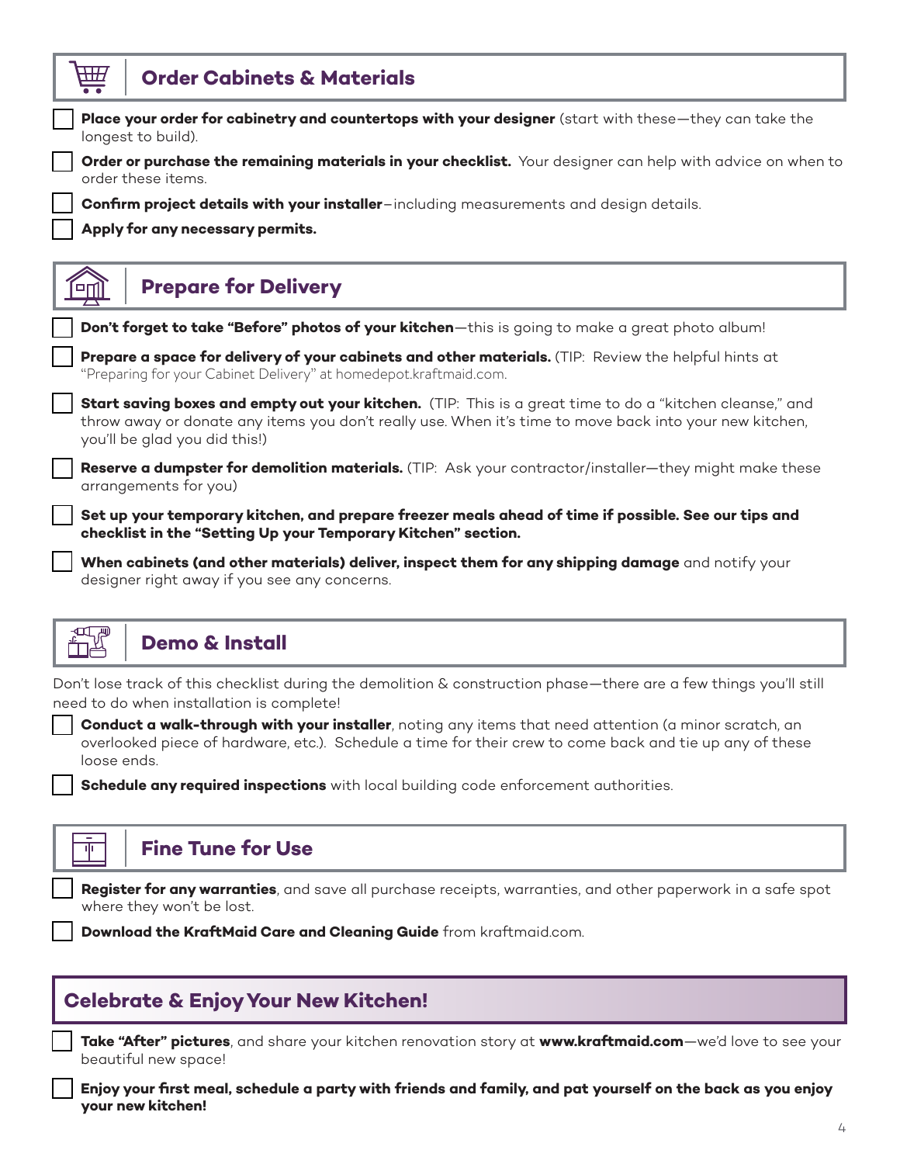| HЩ<br><b>Order Cabinets &amp; Materials</b>                                                                                                                                                                                                          |
|------------------------------------------------------------------------------------------------------------------------------------------------------------------------------------------------------------------------------------------------------|
| Place your order for cabinetry and countertops with your designer (start with these—they can take the<br>longest to build).                                                                                                                          |
| Order or purchase the remaining materials in your checklist. Your designer can help with advice on when to<br>order these items.                                                                                                                     |
| <b>Confirm project details with your installer</b> -including measurements and design details.                                                                                                                                                       |
| Apply for any necessary permits.                                                                                                                                                                                                                     |
|                                                                                                                                                                                                                                                      |
| <b>Prepare for Delivery</b>                                                                                                                                                                                                                          |
| Don't forget to take "Before" photos of your kitchen-this is going to make a great photo album!                                                                                                                                                      |
| Prepare a space for delivery of your cabinets and other materials. (TIP: Review the helpful hints at<br>"Preparing for your Cabinet Delivery" at homedepot.kraftmaid.com.                                                                            |
| Start saving boxes and empty out your kitchen. (TIP: This is a great time to do a "kitchen cleanse," and<br>throw away or donate any items you don't really use. When it's time to move back into your new kitchen,<br>you'll be glad you did this!) |
| Reserve a dumpster for demolition materials. (TIP: Ask your contractor/installer-they might make these<br>arrangements for you)                                                                                                                      |
| Set up your temporary kitchen, and prepare freezer meals ahead of time if possible. See our tips and<br>checklist in the "Setting Up your Temporary Kitchen" section.                                                                                |
| When cabinets (and other materials) deliver, inspect them for any shipping damage and notify your<br>designer right away if you see any concerns.                                                                                                    |



Ψ

Don't lose track of this checklist during the demolition & construction phase—there are a few things you'll still need to do when installation is complete!

**Conduct a walk-through with your installer**, noting any items that need attention (a minor scratch, an overlooked piece of hardware, etc.). Schedule a time for their crew to come back and tie up any of these loose ends.

Schedule any required inspections with local building code enforcement authorities.

### **Fine Tune for Use**

Register for any warranties, and save all purchase receipts, warranties, and other paperwork in a safe spot where they won't be lost.

**Download the KraftMaid Care and Cleaning Guide** from kraftmaid.com.

### **Celebrate & Enjoy Your New Kitchen!**

Take "After" pictures, and share your kitchen renovation story at www.kraftmaid.com-we'd love to see your beautiful new space!

o **Enjoy your first meal, schedule a party with friends and family, and pat yourself on the back as you enjoy your new kitchen!**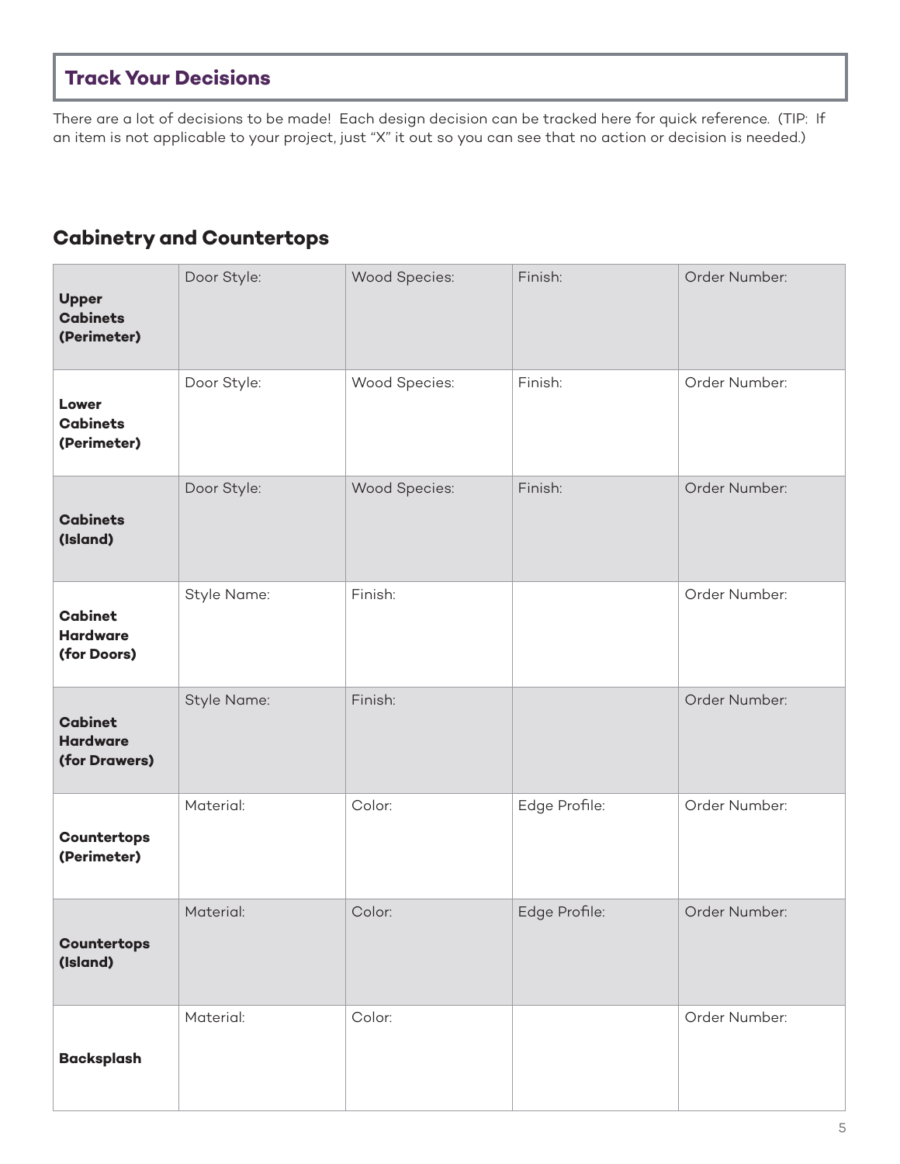# **Track Your Decisions**

There are a lot of decisions to be made! Each design decision can be tracked here for quick reference. (TIP: If an item is not applicable to your project, just "X" it out so you can see that no action or decision is needed.)

# **Cabinetry and Countertops**

| <b>Upper</b><br><b>Cabinets</b><br>(Perimeter)     | Door Style: | Wood Species: | Finish:       | Order Number: |
|----------------------------------------------------|-------------|---------------|---------------|---------------|
| Lower<br><b>Cabinets</b><br>(Perimeter)            | Door Style: | Wood Species: | Finish:       | Order Number: |
| <b>Cabinets</b><br>(Island)                        | Door Style: | Wood Species: | Finish:       | Order Number: |
| <b>Cabinet</b><br><b>Hardware</b><br>(for Doors)   | Style Name: | Finish:       |               | Order Number: |
| <b>Cabinet</b><br><b>Hardware</b><br>(for Drawers) | Style Name: | Finish:       |               | Order Number: |
| Countertops<br>(Perimeter)                         | Material:   | Color:        | Edge Profile: | Order Number: |
| <b>Countertops</b><br>(Island)                     | Material:   | Color:        | Edge Profile: | Order Number: |
| <b>Backsplash</b>                                  | Material:   | Color:        |               | Order Number: |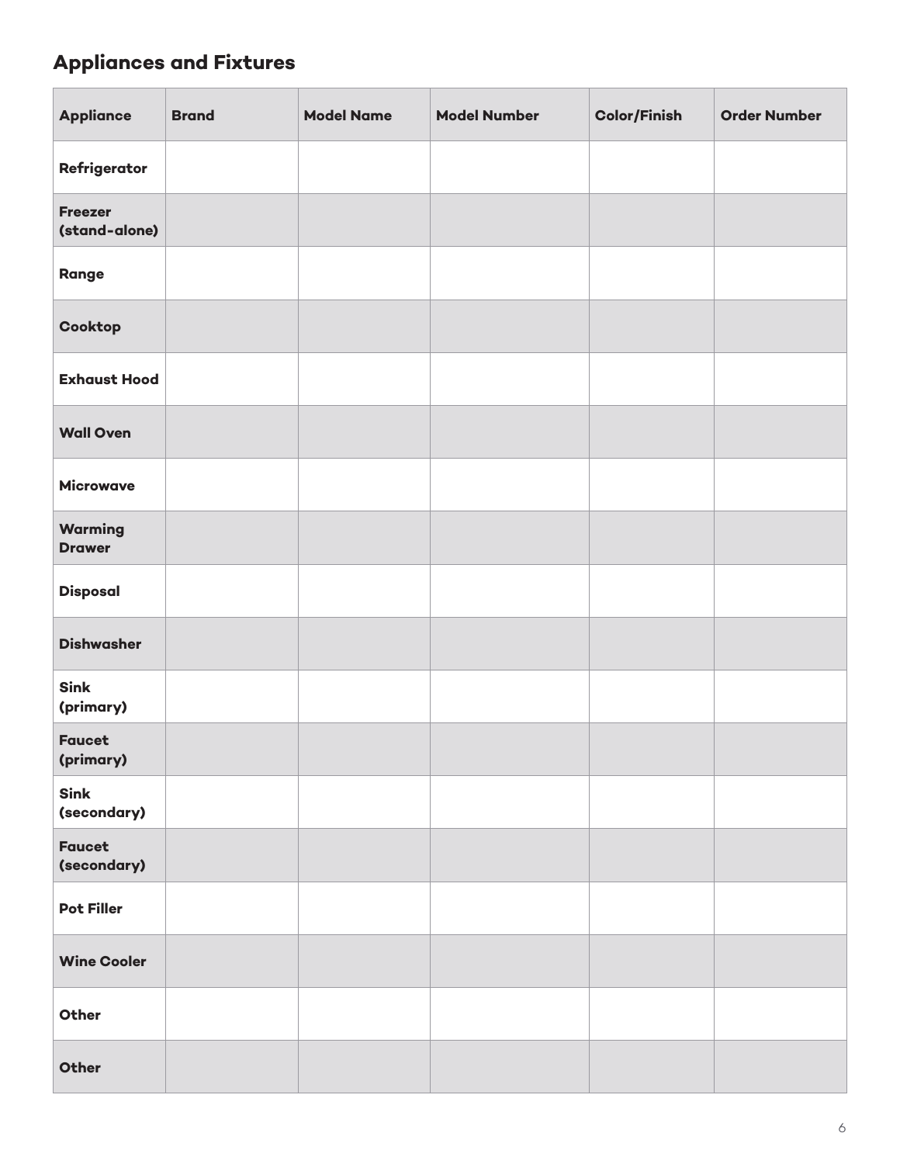# **Appliances and Fixtures**

| <b>Appliance</b>                | <b>Brand</b> | <b>Model Name</b> | <b>Model Number</b> | <b>Color/Finish</b> | <b>Order Number</b> |
|---------------------------------|--------------|-------------------|---------------------|---------------------|---------------------|
| Refrigerator                    |              |                   |                     |                     |                     |
| <b>Freezer</b><br>(stand-alone) |              |                   |                     |                     |                     |
| Range                           |              |                   |                     |                     |                     |
| Cooktop                         |              |                   |                     |                     |                     |
| <b>Exhaust Hood</b>             |              |                   |                     |                     |                     |
| <b>Wall Oven</b>                |              |                   |                     |                     |                     |
| <b>Microwave</b>                |              |                   |                     |                     |                     |
| Warming<br><b>Drawer</b>        |              |                   |                     |                     |                     |
| <b>Disposal</b>                 |              |                   |                     |                     |                     |
| <b>Dishwasher</b>               |              |                   |                     |                     |                     |
| <b>Sink</b><br>(primary)        |              |                   |                     |                     |                     |
| <b>Faucet</b><br>(primary)      |              |                   |                     |                     |                     |
| <b>Sink</b><br>(secondary)      |              |                   |                     |                     |                     |
| <b>Faucet</b><br>(secondary)    |              |                   |                     |                     |                     |
| <b>Pot Filler</b>               |              |                   |                     |                     |                     |
| <b>Wine Cooler</b>              |              |                   |                     |                     |                     |
| Other                           |              |                   |                     |                     |                     |
| Other                           |              |                   |                     |                     |                     |